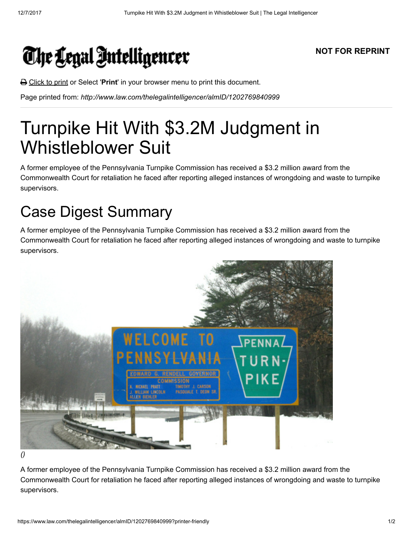## The Legal Intelligencer

## NOT FOR REPRINT

**△** Click to print or Select 'Print' in your browser menu to print this document.

Page printed from: http://www.law.com/thelegalintelligencer/almID/1202769840999

## Turnpike Hit With \$3.2M Judgment in Whistleblower Suit

A former employee of the Pennsylvania Turnpike Commission has received a \$3.2 million award from the Commonwealth Court for retaliation he faced after reporting alleged instances of wrongdoing and waste to turnpike supervisors.

## Case Digest Summary

A former employee of the Pennsylvania Turnpike Commission has received a \$3.2 million award from the Commonwealth Court for retaliation he faced after reporting alleged instances of wrongdoing and waste to turnpike supervisors.



()

A former employee of the Pennsylvania Turnpike Commission has received a \$3.2 million award from the Commonwealth Court for retaliation he faced after reporting alleged instances of wrongdoing and waste to turnpike supervisors.